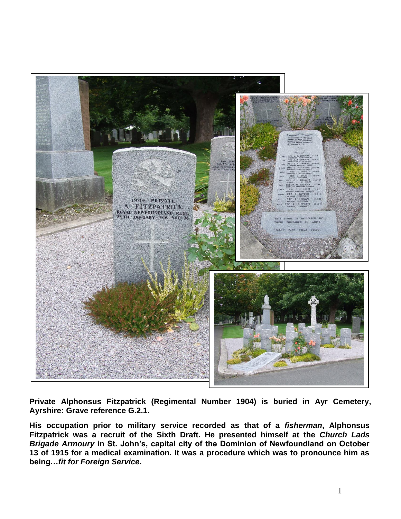

**Private Alphonsus Fitzpatrick (Regimental Number 1904) is buried in Ayr Cemetery, Ayrshire: Grave reference G.2.1.** 

**His occupation prior to military service recorded as that of a** *fisherman***, Alphonsus Fitzpatrick was a recruit of the Sixth Draft. He presented himself at the** *Church Lads Brigade Armoury* **in St. John's, capital city of the Dominion of Newfoundland on October 13 of 1915 for a medical examination. It was a procedure which was to pronounce him as being…***fit for Foreign Service***.**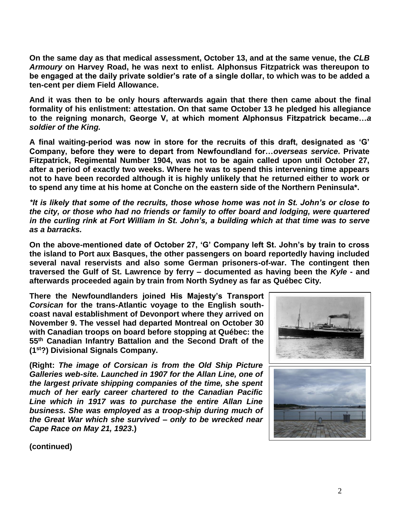**On the same day as that medical assessment, October 13, and at the same venue, the** *CLB Armoury* **on Harvey Road, he was next to enlist. Alphonsus Fitzpatrick was thereupon to be engaged at the daily private soldier's rate of a single dollar, to which was to be added a ten-cent per diem Field Allowance.**

**And it was then to be only hours afterwards again that there then came about the final formality of his enlistment: attestation. On that same October 13 he pledged his allegiance to the reigning monarch, George V, at which moment Alphonsus Fitzpatrick became…***a soldier of the King.*

**A final waiting-period was now in store for the recruits of this draft, designated as 'G' Company, before they were to depart from Newfoundland for…***overseas service***. Private Fitzpatrick, Regimental Number 1904, was not to be again called upon until October 27, after a period of exactly two weeks. Where he was to spend this intervening time appears not to have been recorded although it is highly unlikely that he returned either to work or to spend any time at his home at Conche on the eastern side of the Northern Peninsula\*.** 

*\*It is likely that some of the recruits, those whose home was not in St. John's or close to the city, or those who had no friends or family to offer board and lodging, were quartered in the curling rink at Fort William in St. John's, a building which at that time was to serve as a barracks.*

**On the above-mentioned date of October 27, 'G' Company left St. John's by train to cross the island to Port aux Basques, the other passengers on board reportedly having included several naval reservists and also some German prisoners-of-war. The contingent then traversed the Gulf of St. Lawrence by ferry – documented as having been the** *Kyle* **- and afterwards proceeded again by train from North Sydney as far as Québec City.**

**There the Newfoundlanders joined His Majesty's Transport** *Corsican* **for the trans-Atlantic voyage to the English southcoast naval establishment of Devonport where they arrived on November 9. The vessel had departed Montreal on October 30 with Canadian troops on board before stopping at Québec: the 55th Canadian Infantry Battalion and the Second Draft of the (1st?) Divisional Signals Company.**

**(Right:** *The image of Corsican is from the Old Ship Picture Galleries web-site. Launched in 1907 for the Allan Line, one of the largest private shipping companies of the time, she spent much of her early career chartered to the Canadian Pacific Line which in 1917 was to purchase the entire Allan Line business. She was employed as a troop-ship during much of the Great War which she survived – only to be wrecked near Cape Race on May 21, 1923***.)**



**(continued)**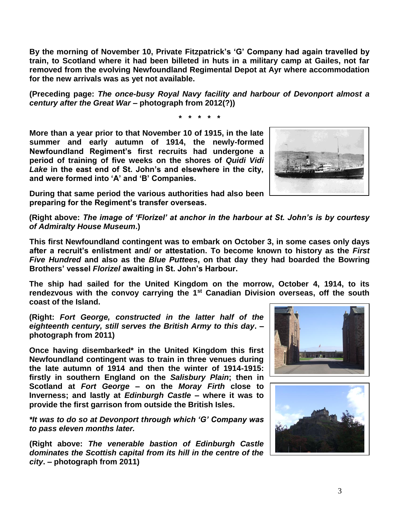**By the morning of November 10, Private Fitzpatrick's 'G' Company had again travelled by train, to Scotland where it had been billeted in huts in a military camp at Gailes, not far removed from the evolving Newfoundland Regimental Depot at Ayr where accommodation for the new arrivals was as yet not available.**

**(Preceding page:** *The once-busy Royal Navy facility and harbour of Devonport almost a century after the Great War* **– photograph from 2012(?))**

**\* \* \* \* \***

**More than a year prior to that November 10 of 1915, in the late summer and early autumn of 1914, the newly-formed Newfoundland Regiment's first recruits had undergone a period of training of five weeks on the shores of** *Quidi Vidi Lake* **in the east end of St. John's and elsewhere in the city, and were formed into 'A' and 'B' Companies.** 



**During that same period the various authorities had also been preparing for the Regiment's transfer overseas.**

**(Right above:** *The image of 'Florizel' at anchor in the harbour at St. John's is by courtesy of Admiralty House Museum***.)**

**This first Newfoundland contingent was to embark on October 3, in some cases only days after a recruit's enlistment and/ or attestation. To become known to history as the** *First Five Hundred* **and also as the** *Blue Puttees***, on that day they had boarded the Bowring Brothers' vessel** *Florizel* **awaiting in St. John's Harbour.**

**The ship had sailed for the United Kingdom on the morrow, October 4, 1914, to its rendezvous with the convoy carrying the 1st Canadian Division overseas, off the south coast of the Island.** 

**(Right:** *Fort George, constructed in the latter half of the eighteenth century, still serves the British Army to this day***. – photograph from 2011)**

**Once having disembarked\* in the United Kingdom this first Newfoundland contingent was to train in three venues during the late autumn of 1914 and then the winter of 1914-1915: firstly in southern England on the** *Salisbury Plain***; then in Scotland at** *Fort George* **– on the** *Moray Firth* **close to Inverness; and lastly at** *Edinburgh Castle* **– where it was to provide the first garrison from outside the British Isles.** 

*\*It was to do so at Devonport through which 'G' Company was to pass eleven months later.*

**(Right above:** *The venerable bastion of Edinburgh Castle dominates the Scottish capital from its hill in the centre of the city***. – photograph from 2011)**



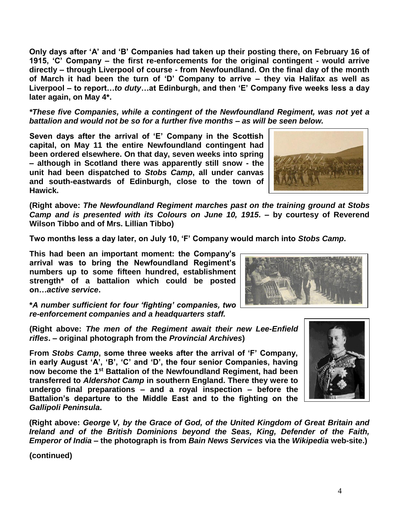4

**Only days after 'A' and 'B' Companies had taken up their posting there, on February 16 of 1915, 'C' Company – the first re-enforcements for the original contingent - would arrive directly – through Liverpool of course - from Newfoundland. On the final day of the month of March it had been the turn of 'D' Company to arrive – they via Halifax as well as Liverpool – to report…***to duty***…at Edinburgh, and then 'E' Company five weeks less a day later again, on May 4\*.**

*\*These five Companies, while a contingent of the Newfoundland Regiment, was not yet a battalion and would not be so for a further five months – as will be seen below.*

**Seven days after the arrival of 'E' Company in the Scottish capital, on May 11 the entire Newfoundland contingent had been ordered elsewhere. On that day, seven weeks into spring – although in Scotland there was apparently still snow - the unit had been dispatched to** *Stobs Camp***, all under canvas and south-eastwards of Edinburgh, close to the town of Hawick.**

**(Right above:** *The Newfoundland Regiment marches past on the training ground at Stobs Camp and is presented with its Colours on June 10, 1915.* **– by courtesy of Reverend Wilson Tibbo and of Mrs. Lillian Tibbo)**

**Two months less a day later, on July 10, 'F' Company would march into** *Stobs Camp***.** 

**This had been an important moment: the Company's arrival was to bring the Newfoundland Regiment's numbers up to some fifteen hundred, establishment strength\* of a battalion which could be posted on…***active service***.**

**\****A number sufficient for four 'fighting' companies, two re-enforcement companies and a headquarters staff.*

**(Right above:** *The men of the Regiment await their new Lee-Enfield rifles***. – original photograph from the** *Provincial Archives***)**

**From** *Stobs Camp***, some three weeks after the arrival of 'F' Company, in early August 'A', 'B', 'C' and 'D', the four senior Companies, having now become the 1st Battalion of the Newfoundland Regiment, had been transferred to** *Aldershot Camp* **in southern England. There they were to undergo final preparations – and a royal inspection – before the Battalion's departure to the Middle East and to the fighting on the**  *Gallipoli Peninsula***.**

**(Right above:** *George V, by the Grace of God, of the United Kingdom of Great Britain and Ireland and of the British Dominions beyond the Seas, King, Defender of the Faith, Emperor of India* **– the photograph is from** *Bain News Services* **via the** *Wikipedia* **web-site.)**

**(continued)**





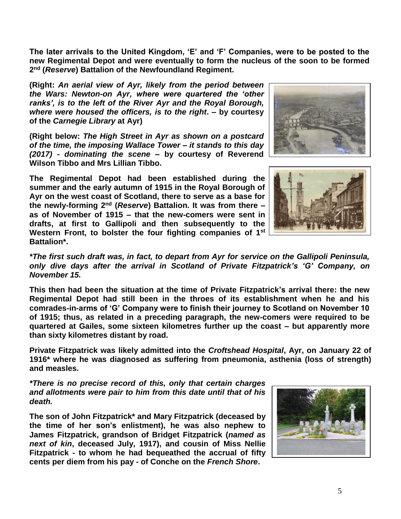**The later arrivals to the United Kingdom, 'E' and 'F' Companies, were to be posted to the new Regimental Depot and were eventually to form the nucleus of the soon to be formed 2 nd (***Reserve***) Battalion of the Newfoundland Regiment.** 

**(Right:** *An aerial view of Ayr, likely from the period between the Wars: Newton-on Ayr, where were quartered the 'other ranks', is to the left of the River Ayr and the Royal Borough, where were housed the officers, is to the right***. – by courtesy of the** *Carnegie Library* **at Ayr)**

**(Right below:** *The High Street in Ayr as shown on a postcard of the time, the imposing Wallace Tower – it stands to this day (2017) - dominating the scene* **– by courtesy of Reverend Wilson Tibbo and Mrs Lillian Tibbo.**

**The Regimental Depot had been established during the summer and the early autumn of 1915 in the Royal Borough of Ayr on the west coast of Scotland, there to serve as a base for the newly-forming 2 nd (***Reserve***) Battalion. It was from there – as of November of 1915 – that the new-comers were sent in drafts, at first to Gallipoli and then subsequently to the Western Front, to bolster the four fighting companies of 1st Battalion\*.** 





*\*The first such draft was, in fact, to depart from Ayr for service on the Gallipoli Peninsula, only dive days after the arrival in Scotland of Private Fitzpatrick's 'G' Company, on November 15.*

**This then had been the situation at the time of Private Fitzpatrick's arrival there: the new Regimental Depot had still been in the throes of its establishment when he and his comrades-in-arms of 'G' Company were to finish their journey to Scotland on November 10 of 1915; thus, as related in a preceding paragraph, the new-comers were required to be quartered at Gailes, some sixteen kilometres further up the coast – but apparently more than sixty kilometres distant by road.**

**Private Fitzpatrick was likely admitted into the** *Croftshead Hospital***, Ayr, on January 22 of 1916\* where he was diagnosed as suffering from pneumonia, asthenia (loss of strength) and measles.**

*\*There is no precise record of this, only that certain charges and allotments were pair to him from this date until that of his death.*

**The son of John Fitzpatrick\* and Mary Fitzpatrick (deceased by the time of her son's enlistment), he was also nephew to James Fitzpatrick, grandson of Bridget Fitzpatrick (***named as next of kin***, deceased July, 1917), and cousin of Miss Nellie Fitzpatrick - to whom he had bequeathed the accrual of fifty cents per diem from his pay - of Conche on the** *French Shore***.**